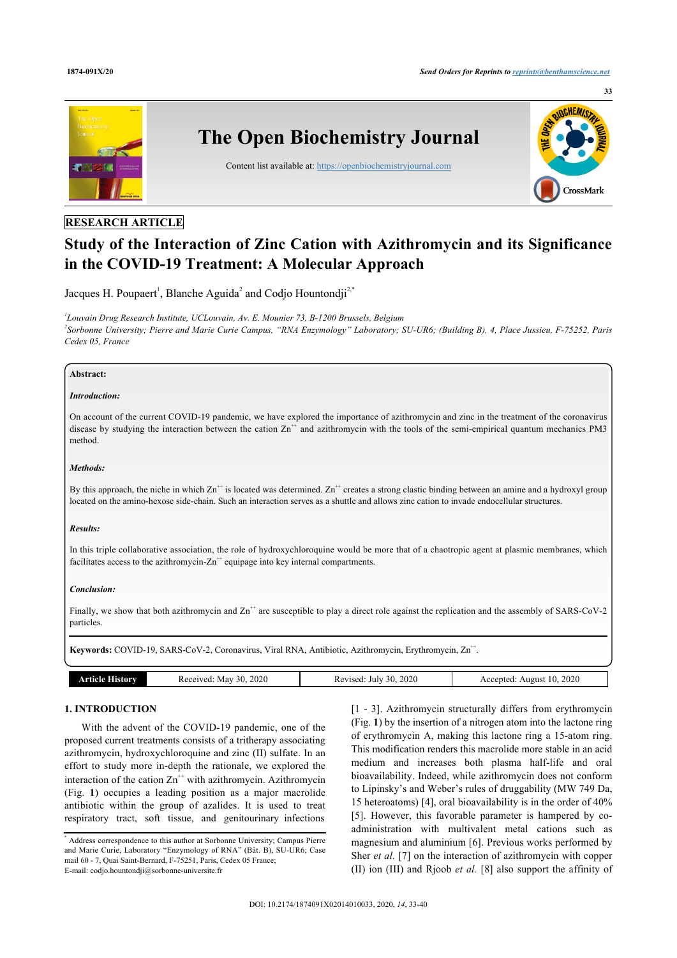**33**



### **RESEARCH ARTICLE**

## **Study of the Interaction of Zinc Cation with Azithromycin and its Significance in the COVID-19 Treatment: A Molecular Approach**

Jacques H. Poupaert<sup>[1](#page-0-0)</sup>, Blanche Aguida<sup>[2](#page-0-1)</sup> and Codjo Hountondji<sup>2[,\\*](#page-0-2)</sup>

<span id="page-0-1"></span><span id="page-0-0"></span>*1 Louvain Drug Research Institute, UCLouvain, Av. E. Mounier 73, B-1200 Brussels, Belgium 2 Sorbonne University; Pierre and Marie Curie Campus, "RNA Enzymology" Laboratory; SU-UR6; (Building B), 4, Place Jussieu, F-75252, Paris Cedex 05, France*

#### **Abstract:**

#### *Introduction:*

On account of the current COVID-19 pandemic, we have explored the importance of azithromycin and zinc in the treatment of the coronavirus disease by studying the interaction between the cation Zn<sup>++</sup> and azithromycin with the tools of the semi-empirical quantum mechanics PM3 method.

#### *Methods:*

By this approach, the niche in which  $\text{Zn}^+$  is located was determined.  $\text{Zn}^+$  creates a strong clastic binding between an amine and a hydroxyl group located on the amino-hexose side-chain. Such an interaction serves as a shuttle and allows zinc cation to invade endocellular structures.

#### *Results:*

In this triple collaborative association, the role of hydroxychloroquine would be more that of a chaotropic agent at plasmic membranes, which facilitates access to the azithromycin- $Zn^{++}$  equipage into key internal compartments.

#### *Conclusion:*

Finally, we show that both azithromycin and  $\text{Zn}^+$  are susceptible to play a direct role against the replication and the assembly of SARS-CoV-2 particles.

Keywords: COVID-19, SARS-CoV-2, Coronavirus, Viral RNA, Antibiotic, Azithromycin, Erythromycin, Zn<sup>++</sup>.

|  | History<br>rticle H | 2020<br>30<br>Received<br>May | 2020<br>Revised:<br>-30.<br>July | 2020<br>ccented<br>August |
|--|---------------------|-------------------------------|----------------------------------|---------------------------|
|--|---------------------|-------------------------------|----------------------------------|---------------------------|

#### **1. INTRODUCTION**

With the advent of the COVID-19 pandemic, one of the proposed current treatments consists of a tritherapy associating azithromycin, hydroxychloroquine and zinc (II) sulfate. In an effort to study more in-depth the rationale, we explored the interaction of the cation  $\text{Zn}^{++}$  with azithromycin. Azithromycin (Fig.**1**) occupies a leading position as a major macrolide antibiotic within the group of azalides. It is used to treat respiratory tract, soft tissue, and genitourinary infections

[[1](#page-6-0) - [3](#page-6-1)]. Azithromycin structurally differs from erythromycin (Fig. **[1](#page-3-0)**) by the insertion of a nitrogen atom into the lactone ring of erythromycin A, making this lactone ring a 15-atom ring. This modification renders this macrolide more stable in an acid medium and increases both plasma half-life and oral bioavailability. Indeed, while azithromycin does not conform to Lipinsky's and Weber's rules of druggability (MW 749 Da, 15 heteroatoms) [[4](#page-6-2)], oral bioavailability is in the order of 40% [[5\]](#page-6-3). However, this favorable parameter is hampered by coadministration with multivalent metal cations such as magnesium and aluminium [[6](#page-6-4)]. Previous works performed by Sher *et al.* [[7](#page-6-5)] on the interaction of azithromycin with copper (II) ion (III) and Rjoob *et al.* [\[8\]](#page-6-6) also support the affinity of

<span id="page-0-2"></span><sup>\*</sup> Address correspondence to this author at Sorbonne University; Campus Pierre and Marie Curie, Laboratory "Enzymology of RNA" (Bât. B), SU-UR6; Case mail 60 - 7, Quai Saint-Bernard, F-75251, Paris, Cedex 05 France; E-mail: [codjo.hountondji@sorbonne-universite.fr](mailto:codjo.hountondji@sorbonne-universite.fr)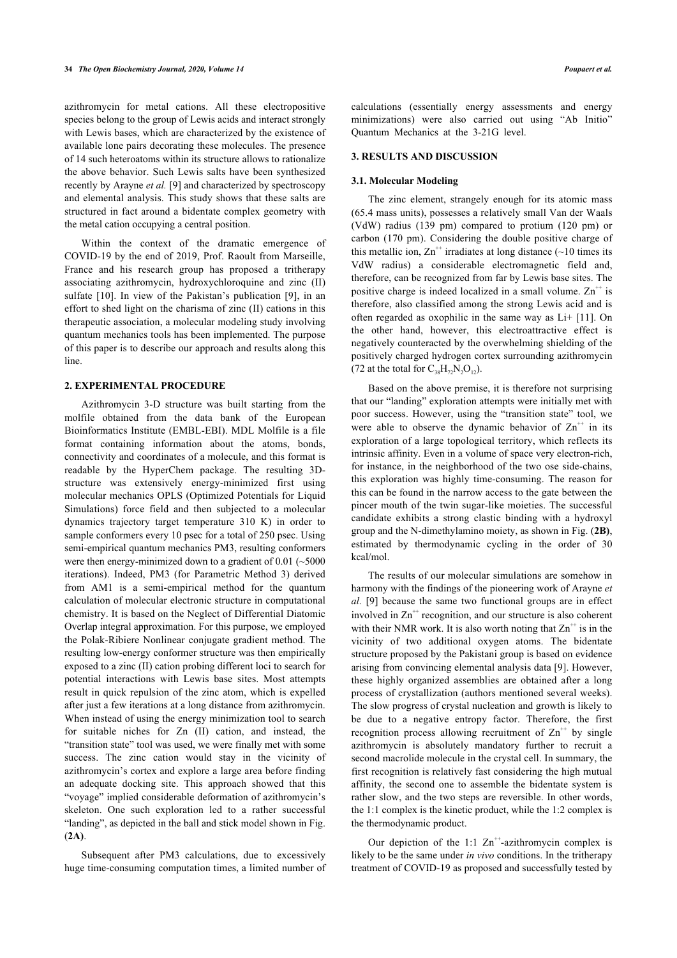azithromycin for metal cations. All these electropositive species belong to the group of Lewis acids and interact strongly with Lewis bases, which are characterized by the existence of available lone pairs decorating these molecules. The presence of 14 such heteroatoms within its structure allows to rationalize the above behavior. Such Lewis salts have been synthesized recently by Arayne *et al.* [[9](#page-6-7)] and characterized by spectroscopy and elemental analysis. This study shows that these salts are structured in fact around a bidentate complex geometry with the metal cation occupying a central position.

Within the context of the dramatic emergence of COVID-19 by the end of 2019, Prof. Raoult from Marseille, France and his research group has proposed a tritherapy associating azithromycin, hydroxychloroquine and zinc (II) sulfate [[10](#page-6-8)]. In view of the Pakistan's publication [[9](#page-6-7)], in an effort to shed light on the charisma of zinc (II) cations in this therapeutic association, a molecular modeling study involving quantum mechanics tools has been implemented. The purpose of this paper is to describe our approach and results along this line.

#### **2. EXPERIMENTAL PROCEDURE**

Azithromycin 3-D structure was built starting from the molfile obtained from the data bank of the European Bioinformatics Institute (EMBL-EBI). MDL Molfile is a file format containing information about the atoms, bonds, connectivity and coordinates of a molecule, and this format is readable by the HyperChem package. The resulting 3Dstructure was extensively energy-minimized first using molecular mechanics OPLS (Optimized Potentials for Liquid Simulations) force field and then subjected to a molecular dynamics trajectory target temperature 310 K) in order to sample conformers every 10 psec for a total of 250 psec. Using semi-empirical quantum mechanics PM3, resulting conformers were then energy-minimized down to a gradient of 0.01 (~5000) iterations). Indeed, PM3 (for Parametric Method 3) derived from AM1 is a semi-empirical method for the quantum calculation of molecular electronic structure in computational chemistry. It is based on the Neglect of Differential Diatomic Overlap integral approximation. For this purpose, we employed the Polak-Ribiere Nonlinear conjugate gradient method. The resulting low-energy conformer structure was then empirically exposed to a zinc (II) cation probing different loci to search for potential interactions with Lewis base sites. Most attempts result in quick repulsion of the zinc atom, which is expelled after just a few iterations at a long distance from azithromycin. When instead of using the energy minimization tool to search for suitable niches for Zn (II) cation, and instead, the "transition state" tool was used, we were finally met with some success. The zinc cation would stay in the vicinity of azithromycin's cortex and explore a large area before finding an adequate docking site. This approach showed that this "voyage" implied considerable deformation of azithromycin's skeleton. One such exploration led to a rather successful "landing", as depicted in the ball and stick model shown in Fig. (**[2A\)](#page-3-1)**.

Subsequent after PM3 calculations, due to excessively huge time-consuming computation times, a limited number of calculations (essentially energy assessments and energy minimizations) were also carried out using "Ab Initio" Quantum Mechanics at the 3-21G level.

#### **3. RESULTS AND DISCUSSION**

#### **3.1. Molecular Modeling**

The zinc element, strangely enough for its atomic mass (65.4 mass units), possesses a relatively small Van der Waals (VdW) radius (139 pm) compared to protium (120 pm) or carbon (170 pm). Considering the double positive charge of this metallic ion,  $\text{Zn}^+$  irradiates at long distance (~10 times its VdW radius) a considerable electromagnetic field and, therefore, can be recognized from far by Lewis base sites. The positive charge is indeed localized in a small volume.  $\text{Zn}^+$  is therefore, also classified among the strong Lewis acid and is often regarded as oxophilic in the same way as Li+ [[11](#page-6-9)]. On the other hand, however, this electroattractive effect is negatively counteracted by the overwhelming shielding of the positively charged hydrogen cortex surrounding azithromycin (72 at the total for  $C_{38}H_{72}N_{2}O_{12}$ ).

Based on the above premise, it is therefore not surprising that our "landing" exploration attempts were initially met with poor success. However, using the "transition state" tool, we were able to observe the dynamic behavior of  $\text{Zn}^{++}$  in its exploration of a large topological territory, which reflects its intrinsic affinity. Even in a volume of space very electron-rich, for instance, in the neighborhood of the two ose side-chains, this exploration was highly time-consuming. The reason for this can be found in the narrow access to the gate between the pincer mouth of the twin sugar-like moieties. The successful candidate exhibits a strong clastic binding with a hydroxyl group and the N-dimethylamino moiety, as shown in Fig. (**[2B](#page-3-1))**, estimated by thermodynamic cycling in the order of 30 kcal/mol.

The results of our molecular simulations are somehow in harmony with the findings of the pioneering work of Arayne *et al.* [[9\]](#page-6-7) because the same two functional groups are in effect involved in  $\text{Zn}^{+}$  recognition, and our structure is also coherent with their NMR work. It is also worth noting that  $\text{Zn}^{++}$  is in the vicinity of two additional oxygen atoms. The bidentate structure proposed by the Pakistani group is based on evidence arising from convincing elemental analysis data [[9](#page-6-7)]. However, these highly organized assemblies are obtained after a long process of crystallization (authors mentioned several weeks). The slow progress of crystal nucleation and growth is likely to be due to a negative entropy factor. Therefore, the first recognition process allowing recruitment of  $Zn^{++}$  by single azithromycin is absolutely mandatory further to recruit a second macrolide molecule in the crystal cell. In summary, the first recognition is relatively fast considering the high mutual affinity, the second one to assemble the bidentate system is rather slow, and the two steps are reversible. In other words, the 1:1 complex is the kinetic product, while the 1:2 complex is the thermodynamic product.

Our depiction of the 1:1  $\text{Zn}^{++}$ -azithromycin complex is likely to be the same under *in vivo* conditions. In the tritherapy treatment of COVID-19 as proposed and successfully tested by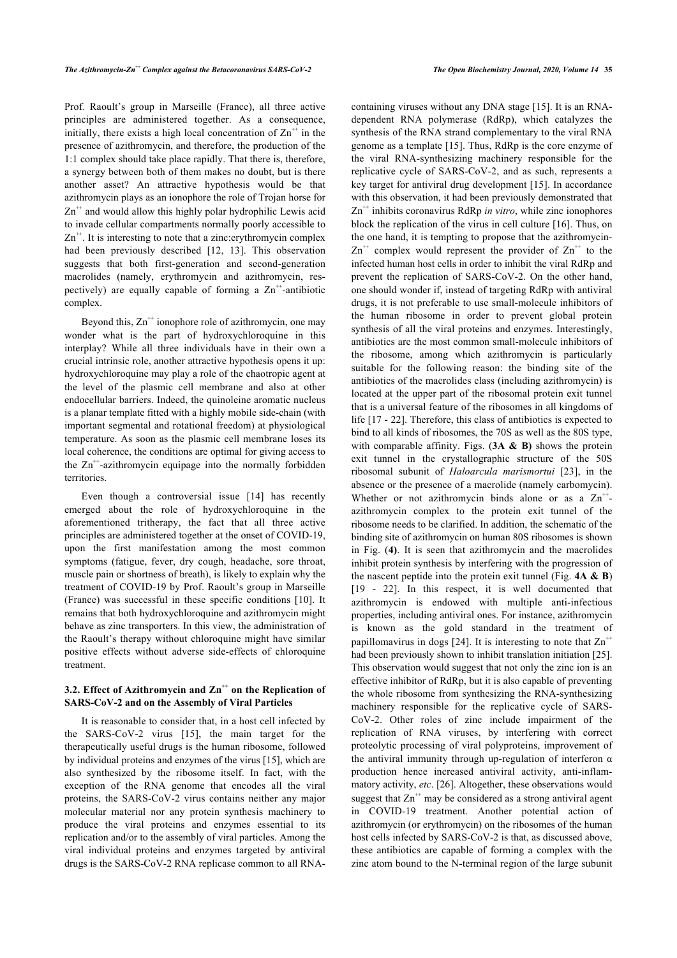Prof. Raoult's group in Marseille (France), all three active principles are administered together. As a consequence, initially, there exists a high local concentration of  $\text{Zn}^{+}$  in the presence of azithromycin, and therefore, the production of the 1:1 complex should take place rapidly. That there is, therefore, a synergy between both of them makes no doubt, but is there another asset? An attractive hypothesis would be that azithromycin plays as an ionophore the role of Trojan horse for  $Zn^{++}$  and would allow this highly polar hydrophilic Lewis acid to invade cellular compartments normally poorly accessible to Zn<sup>++</sup>. It is interesting to note that a zinc:erythromycin complex had been previously described [\[12,](#page-6-10) [13](#page-6-11)]. This observation suggests that both first-generation and second-generation macrolides (namely, erythromycin and azithromycin, respectively) are equally capable of forming a  $Zn^{++}$ -antibiotic complex.

Beyond this,  $\text{Zn}^+$  ionophore role of azithromycin, one may wonder what is the part of hydroxychloroquine in this interplay? While all three individuals have in their own a crucial intrinsic role, another attractive hypothesis opens it up: hydroxychloroquine may play a role of the chaotropic agent at the level of the plasmic cell membrane and also at other endocellular barriers. Indeed, the quinoleine aromatic nucleus is a planar template fitted with a highly mobile side-chain (with important segmental and rotational freedom) at physiological temperature. As soon as the plasmic cell membrane loses its local coherence, the conditions are optimal for giving access to the  $\text{Zn}^{+}$ -azithromycin equipage into the normally forbidden territories.

Even though a controversial issue[[14](#page-6-12)] has recently emerged about the role of hydroxychloroquine in the aforementioned tritherapy, the fact that all three active principles are administered together at the onset of COVID-19, upon the first manifestation among the most common symptoms (fatigue, fever, dry cough, headache, sore throat, muscle pain or shortness of breath), is likely to explain why the treatment of COVID-19 by Prof. Raoult's group in Marseille (France) was successful in these specific conditions [\[10\]](#page-6-8). It remains that both hydroxychloroquine and azithromycin might behave as zinc transporters. In this view, the administration of the Raoult's therapy without chloroquine might have similar positive effects without adverse side-effects of chloroquine treatment.

#### **3.2. Effect of Azithromycin and**  $\text{Zn}^+$  **on the Replication of SARS-CoV-2 and on the Assembly of Viral Particles**

It is reasonable to consider that, in a host cell infected by the SARS-CoV-2 virus [\[15\]](#page-6-13), the main target for the therapeutically useful drugs is the human ribosome, followed by individual proteins and enzymes of the virus [\[15](#page-6-13)], which are also synthesized by the ribosome itself. In fact, with the exception of the RNA genome that encodes all the viral proteins, the SARS-CoV-2 virus contains neither any major molecular material nor any protein synthesis machinery to produce the viral proteins and enzymes essential to its replication and/or to the assembly of viral particles. Among the viral individual proteins and enzymes targeted by antiviral drugs is the SARS-CoV-2 RNA replicase common to all RNA-

containing viruses without any DNA stage [\[15\]](#page-6-13). It is an RNAdependent RNA polymerase (RdRp), which catalyzes the synthesis of the RNA strand complementary to the viral RNA genome as a template [[15\]](#page-6-13). Thus, RdRp is the core enzyme of the viral RNA-synthesizing machinery responsible for the replicative cycle of SARS-CoV-2, and as such, represents a key target for antiviral drug development [\[15\]](#page-6-13). In accordance with this observation, it had been previously demonstrated that Zn<sup>++</sup> inhibits coronavirus RdRp *in vitro*, while zinc ionophores block the replication of the virus in cell culture [\[16](#page-6-14)]. Thus, on the one hand, it is tempting to propose that the azithromycin- $\text{Zn}^{++}$  complex would represent the provider of  $\text{Zn}^{++}$  to the infected human host cells in order to inhibit the viral RdRp and prevent the replication of SARS-CoV-2. On the other hand, one should wonder if, instead of targeting RdRp with antiviral drugs, it is not preferable to use small-molecule inhibitors of the human ribosome in order to prevent global protein synthesis of all the viral proteins and enzymes. Interestingly, antibiotics are the most common small-molecule inhibitors of the ribosome, among which azithromycin is particularly suitable for the following reason: the binding site of the antibiotics of the macrolides class (including azithromycin) is located at the upper part of the ribosomal protein exit tunnel that is a universal feature of the ribosomes in all kingdoms of life [[17](#page-6-15) - [22\]](#page-7-0). Therefore, this class of antibiotics is expected to bind to all kinds of ribosomes, the 70S as well as the 80S type, with comparable affinity. Figs. (**[3A](#page-4-0) & [B\)](#page-4-0)** shows the protein exit tunnel in the crystallographic structure of the 50S ribosomal subunit of *Haloarcula marismortui* [[23](#page-7-1)], in the absence or the presence of a macrolide (namely carbomycin). Whether or not azithromycin binds alone or as a  $Zn^{++}$ . azithromycin complex to the protein exit tunnel of the ribosome needs to be clarified. In addition, the schematic of the binding site of azithromycin on human 80S ribosomes is shown in Fig. (**[4](#page-4-1))**. It is seen that azithromycin and the macrolides inhibit protein synthesis by interfering with the progression of the nascent peptide into the protein exit tunnel (Fig. **[4A & B](#page-4-1)**) [[19](#page-7-2) - [22](#page-7-0)]. In this respect, it is well documented that azithromycin is endowed with multiple anti-infectious properties, including antiviral ones. For instance, azithromycin is known as the gold standard in the treatment of papillomavirus in dogs [\[24\]](#page-7-3). It is interesting to note that  $Zn^+$ had been previously shown to inhibit translation initiation [\[25](#page-7-4)]. This observation would suggest that not only the zinc ion is an effective inhibitor of RdRp, but it is also capable of preventing the whole ribosome from synthesizing the RNA-synthesizing machinery responsible for the replicative cycle of SARS-CoV-2. Other roles of zinc include impairment of the replication of RNA viruses, by interfering with correct proteolytic processing of viral polyproteins, improvement of the antiviral immunity through up-regulation of interferon  $\alpha$ production hence increased antiviral activity, anti-inflammatory activity, *etc*. [[26\]](#page-7-5). Altogether, these observations would suggest that  $\text{Zn}^{++}$  may be considered as a strong antiviral agent in COVID-19 treatment. Another potential action of azithromycin (or erythromycin) on the ribosomes of the human host cells infected by SARS-CoV-2 is that, as discussed above, these antibiotics are capable of forming a complex with the zinc atom bound to the N-terminal region of the large subunit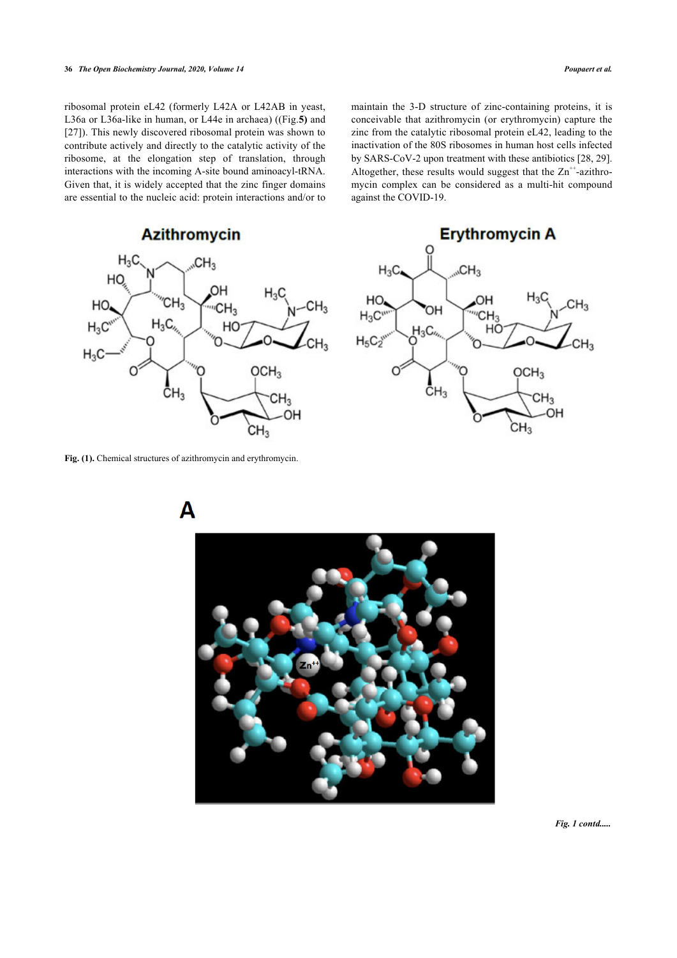ribosomal protein eL42 (formerly L42A or L42AB in yeast, L36a or L36a-like in human, or L44e in archaea) ((Fig.**[5](#page-5-0))** and [[27\]](#page-7-6)). This newly discovered ribosomal protein was shown to contribute actively and directly to the catalytic activity of the ribosome, at the elongation step of translation, through interactions with the incoming A-site bound aminoacyl-tRNA. Given that, it is widely accepted that the zinc finger domains are essential to the nucleic acid: protein interactions and/or to

maintain the 3-D structure of zinc-containing proteins, it is conceivable that azithromycin (or erythromycin) capture the zinc from the catalytic ribosomal protein eL42, leading to the inactivation of the 80S ribosomes in human host cells infected by SARS-CoV-2 upon treatment with these antibiotics [[28,](#page-7-7) [29](#page-7-8)]. Altogether, these results would suggest that the  $Zn^{+}$ -azithromycin complex can be considered as a multi-hit compound against the COVID-19.

# **Azithromycin**

<span id="page-3-0"></span>

<span id="page-3-1"></span>**Fig. (1).** Chemical structures of azithromycin and erythromycin.





*Fig. 1 contd.....*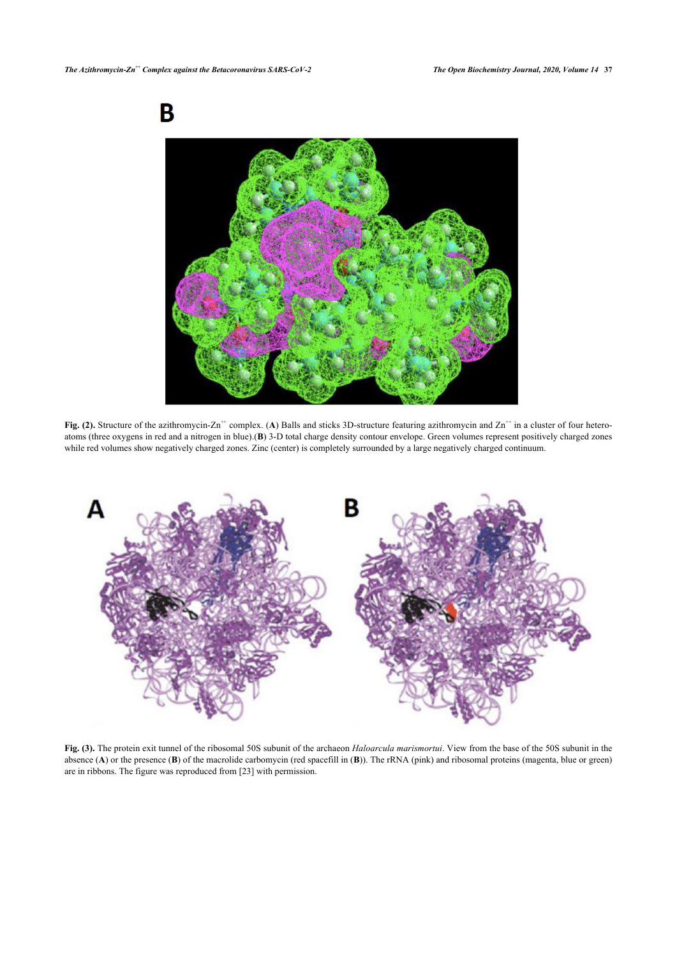

**Fig. (2).** Structure of the azithromycin-Zn<sup>++</sup> complex. (A) Balls and sticks 3D-structure featuring azithromycin and Zn<sup>++</sup> in a cluster of four heteroatoms (three oxygens in red and a nitrogen in blue).(**B**) 3-D total charge density contour envelope. Green volumes represent positively charged zones while red volumes show negatively charged zones. Zinc (center) is completely surrounded by a large negatively charged continuum.

<span id="page-4-0"></span>

<span id="page-4-1"></span>**Fig. (3).** The protein exit tunnel of the ribosomal 50S subunit of the archaeon *Haloarcula marismortui*. View from the base of the 50S subunit in the absence (**A**) or the presence (**B**) of the macrolide carbomycin (red spacefill in (**B**)). The rRNA (pink) and ribosomal proteins (magenta, blue or green) are in ribbons. The figure was reproduced from [[23\]](#page-7-1) with permission.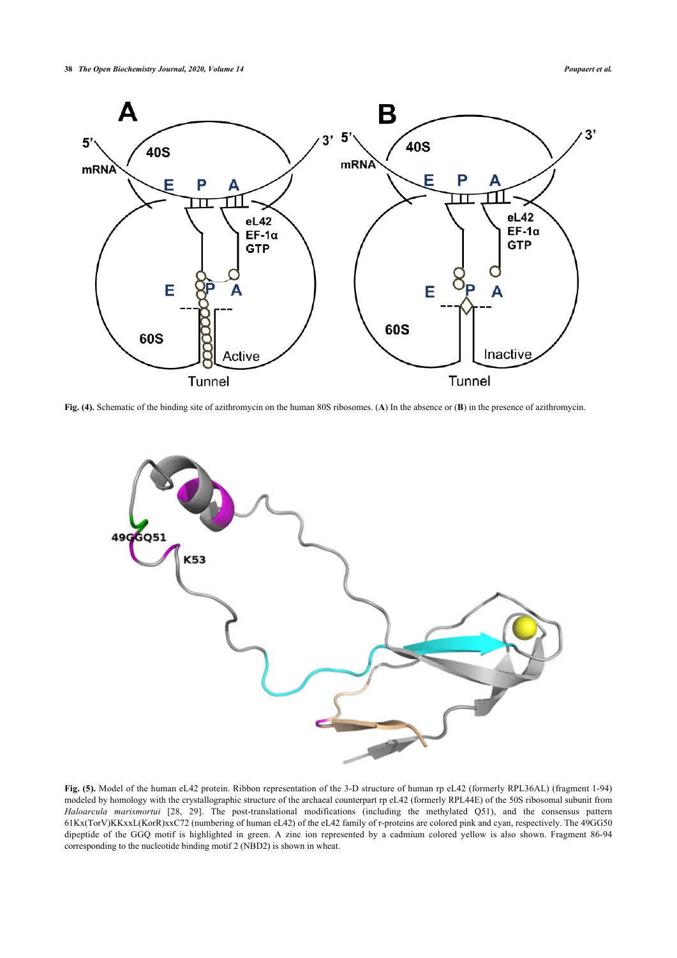

<span id="page-5-0"></span>**Fig. (4).** Schematic of the binding site of azithromycin on the human 80S ribosomes. (**A**) In the absence or (**B**) in the presence of azithromycin.



**Fig. (5).** Model of the human eL42 protein. Ribbon representation of the 3-D structure of human rp eL42 (formerly RPL36AL) (fragment 1-94) modeled by homology with the crystallographic structure of the archaeal counterpart rp eL42 (formerly RPL44E) of the 50S ribosomal subunit from *Haloarcula marismortui* [[28](#page-7-7), [29\]](#page-7-8). The post-translational modifications (including the methylated Q51), and the consensus pattern 61Kx(TorV)KKxxL(KorR)xxC72 (numbering of human eL42) of the eL42 family of r-proteins are colored pink and cyan, respectively. The 49GG50 dipeptide of the GGQ motif is highlighted in green. A zinc ion represented by a cadmium colored yellow is also shown. Fragment 86-94 corresponding to the nucleotide binding motif 2 (NBD2) is shown in wheat.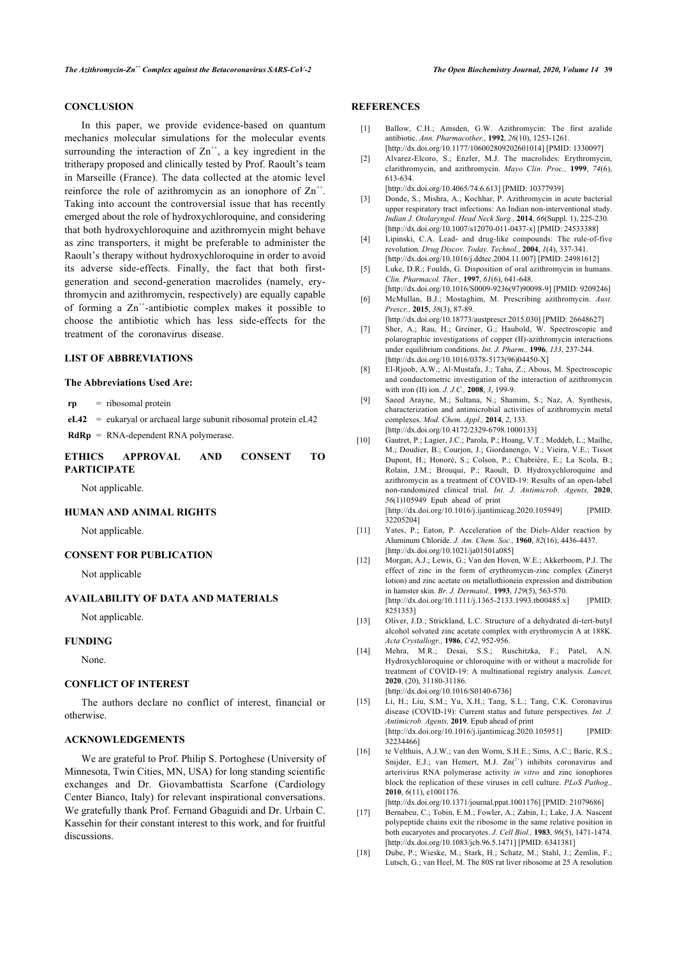#### **CONCLUSION**

<span id="page-6-2"></span><span id="page-6-1"></span><span id="page-6-0"></span>In this paper, we provide evidence-based on quantum mechanics molecular simulations for the molecular events surrounding the interaction of  $Zn^{+}$ , a key ingredient in the tritherapy proposed and clinically tested by Prof. Raoult's team in Marseille (France). The data collected at the atomic level reinforce the role of azithromycin as an ionophore of  $Zn^{++}$ . Taking into account the controversial issue that has recently emerged about the role of hydroxychloroquine, and considering that both hydroxychloroquine and azithromycin might behave as zinc transporters, it might be preferable to administer the Raoult's therapy without hydroxychloroquine in order to avoid its adverse side-effects. Finally, the fact that both firstgeneration and second-generation macrolides (namely, erythromycin and azithromycin, respectively) are equally capable of forming a  $\text{Zn}^{+}$ -antibiotic complex makes it possible to choose the antibiotic which has less side-effects for the treatment of the coronavirus disease.

#### <span id="page-6-6"></span><span id="page-6-5"></span><span id="page-6-4"></span><span id="page-6-3"></span>**LIST OF ABBREVIATIONS**

#### <span id="page-6-7"></span>**The Abbreviations Used Are:**

**rp** = ribosomal protein

 $eL42$  = eukarval or archaeal large subunit ribosomal protein  $eL42$ **RdRp** = RNA-dependent RNA polymerase.

#### <span id="page-6-8"></span>**ETHICS APPROVAL AND CONSENT TO PARTICIPATE**

Not applicable.

### <span id="page-6-9"></span>**HUMAN AND ANIMAL RIGHTS**

Not applicable.

#### <span id="page-6-10"></span>**CONSENT FOR PUBLICATION**

Not applicable

#### <span id="page-6-11"></span>**AVAILABILITY OF DATA AND MATERIALS**

Not applicable.

#### <span id="page-6-12"></span>**FUNDING**

None.

#### **CONFLICT OF INTEREST**

<span id="page-6-13"></span>The authors declare no conflict of interest, financial or otherwise.

#### **ACKNOWLEDGEMENTS**

<span id="page-6-15"></span><span id="page-6-14"></span>We are grateful to Prof. Philip S. Portoghese (University of Minnesota, Twin Cities, MN, USA) for long standing scientific exchanges and Dr. Giovambattista Scarfone (Cardiology Center Bianco, Italy) for relevant inspirational conversations. We gratefully thank Prof. Fernand Gbaguidi and Dr. Urbain C. Kassehin for their constant interest to this work, and for fruitful discussions.

#### **REFERENCES**

- [1] Ballow, C.H.; Amsden, G.W. Azithromycin: The first azalide antibiotic. *Ann. Pharmacother.,* **1992**, *26*(10), 1253-1261. [\[http://dx.doi.org/10.1177/106002809202601014](http://dx.doi.org/10.1177/106002809202601014)] [PMID: [1330097\]](http://www.ncbi.nlm.nih.gov/pubmed/1330097)
- [2] Alvarez-Elcoro, S.; Enzler, M.J. The macrolides: Erythromycin, clarithromycin, and azithromycin. *Mayo Clin. Proc.,* **1999**, *74*(6), 613-634.

[\[http://dx.doi.org/10.4065/74.6.613\]](http://dx.doi.org/10.4065/74.6.613) [PMID: [10377939\]](http://www.ncbi.nlm.nih.gov/pubmed/10377939)

- [3] Donde, S.; Mishra, A.; Kochhar, P. Azithromycin in acute bacterial upper respiratory tract infections: An Indian non-interventional study. *Indian J. Otolaryngol. Head Neck Surg.,* **2014**, *66*(Suppl. 1), 225-230. [\[http://dx.doi.org/10.1007/s12070-011-0437-x\]](http://dx.doi.org/10.1007/s12070-011-0437-x) [PMID: [24533388](http://www.ncbi.nlm.nih.gov/pubmed/24533388)]
- [4] Lipinski, C.A. Lead- and drug-like compounds: The rule-of-five revolution. *Drug Discov. Today. Technol.,* **2004**, *1*(4), 337-341. [\[http://dx.doi.org/10.1016/j.ddtec.2004.11.007](http://dx.doi.org/10.1016/j.ddtec.2004.11.007)] [PMID: [24981612\]](http://www.ncbi.nlm.nih.gov/pubmed/24981612)
- [5] Luke, D.R.; Foulds, G. Disposition of oral azithromycin in humans. *Clin. Pharmacol. Ther.,* **1997**, *61*(6), 641-648.
- [\[http://dx.doi.org/10.1016/S0009-9236\(97\)90098-9\]](http://dx.doi.org/10.1016/S0009-9236(97)90098-9) [PMID: [9209246\]](http://www.ncbi.nlm.nih.gov/pubmed/9209246) [6] McMullan, B.J.; Mostaghim, M. Prescribing azithromycin. *Aust. Prescr.,* **2015**, *38*(3), 87-89.
- [\[http://dx.doi.org/10.18773/austprescr.2015.030](http://dx.doi.org/10.18773/austprescr.2015.030)] [PMID: [26648627\]](http://www.ncbi.nlm.nih.gov/pubmed/26648627)
- [7] Sher, A.; Rau, H.; Greiner, G.; Haubold, W. Spectroscopic and polarographic investigations of copper (II)-azithromycin interactions under equilibrium conditions. *Int. J. Pharm.,* **1996**, *133*, 237-244. [\[http://dx.doi.org/10.1016/0378-5173\(96\)04450-X](http://dx.doi.org/10.1016/0378-5173(96)04450-X)]
- [8] El-Rjoob, A.W.; Al-Mustafa, J.; Taha, Z.; Abous, M. Spectroscopic and conductometric investigation of the interaction of azithromycin with iron (II) ion. *J. J.C.,* **2008**, *3*, 199-9.
- [9] Saeed Arayne, M.; Sultana, N.; Shamim, S.; Naz, A. Synthesis, characterization and antimicrobial activities of azithromycin metal complexes. *Mod. Chem. Appl.,* **2014**, *2*, 133. [\[http://dx.doi.org/10.4172/2329-6798.1000133](http://dx.doi.org/10.4172/2329-6798.1000133)]
- [10] Gautret, P.; Lagier, J.C.; Parola, P.; Hoang, V.T.; Meddeb, L.; Mailhe, M.; Doudier, B.; Courjon, J.; Giordanengo, V.; Vieira, V.E.; Tissot Dupont, H.; Honoré, S.; Colson, P.; Chabrière, E.; La Scola, B.; Rolain, J.M.; Brouqui, P.; Raoult, D. Hydroxychloroquine and azithromycin as a treatment of COVID-19: Results of an open-label non-randomized clinical trial. *Int. J. Antimicrob. Agents,* **2020**, *56*(1)105949 Epub ahead of print [\[http://dx.doi.org/10.1016/j.ijantimicag.2020.105949](http://dx.doi.org/10.1016/j.ijantimicag.2020.105949)] [PMID: [32205204\]](http://www.ncbi.nlm.nih.gov/pubmed/32205204)
- [11] Yates, P.; Eaton, P. Acceleration of the Diels-Alder reaction by Aluminum Chloride. *J. Am. Chem. Soc.,* **1960**, *82*(16), 4436-4437. [\[http://dx.doi.org/10.1021/ja01501a085\]](http://dx.doi.org/10.1021/ja01501a085)
- [12] Morgan, A.J.; Lewis, G.; Van den Hoven, W.E.; Akkerboom, P.J. The effect of zinc in the form of erythromycin-zinc complex (Zineryt lotion) and zinc acetate on metallothionein expression and distribution in hamster skin. *Br. J. Dermatol.,* **1993**, *129*(5), 563-570. [\[http://dx.doi.org/10.1111/j.1365-2133.1993.tb00485.x](http://dx.doi.org/10.1111/j.1365-2133.1993.tb00485.x)] [PMID: [8251353](http://www.ncbi.nlm.nih.gov/pubmed/8251353)]
- [13] Oliver, J.D.; Strickland, L.C. Structure of a dehydrated di-tert-butyl alcohol solvated zinc acetate complex with erythromycin A at 188K. *Acta Crystallogr.,* **1986**, *C42*, 952-956.
- [14] Mehra, M.R.; Desai, S.S.; Ruschitzka, F.; Patel, A.N. Hydroxychloroquine or chloroquine with or without a macrolide for treatment of COVID-19: A multinational registry analysis. *Lancet,* **2020**, (20), 31180-31186. [\[http://dx.doi.org/10.1016/S0140-6736\]](http://dx.doi.org/10.1016/S0140-6736)
- [15] Li, H.; Liu, S.M.; Yu, X.H.; Tang, S.L.; Tang, C.K. Coronavirus disease (COVID-19): Current status and future perspectives. *Int. J. Antimicrob. Agents,* **2019**. Epub ahead of print [\[http://dx.doi.org/10.1016/j.ijantimicag.2020.105951](http://dx.doi.org/10.1016/j.ijantimicag.2020.105951)] [PMID: [32234466\]](http://www.ncbi.nlm.nih.gov/pubmed/32234466) [16] te Velthuis, A.J.W.; van den Worm, S.H.E.; Sims, A.C.; Baric, R.S.;
- Snijder, E.J.; van Hemert, M.J.  $Zn<sup>(2+)</sup>$  inhibits coronavirus and arterivirus RNA polymerase activity *in vitro* and zinc ionophores block the replication of these viruses in cell culture. *PLoS Pathog.,* **2010**, *6*(11), e1001176.

[\[http://dx.doi.org/10.1371/journal.ppat.1001176](http://dx.doi.org/10.1371/journal.ppat.1001176)] [PMID: [21079686\]](http://www.ncbi.nlm.nih.gov/pubmed/21079686)

- [17] Bernabeu, C.; Tobin, E.M.; Fowler, A.; Zabin, I.; Lake, J.A. Nascent polypeptide chains exit the ribosome in the same relative position in both eucaryotes and procaryotes. *J. Cell Biol.,* **1983**, *96*(5), 1471-1474. [\[http://dx.doi.org/10.1083/jcb.96.5.1471\]](http://dx.doi.org/10.1083/jcb.96.5.1471) [PMID: [6341381\]](http://www.ncbi.nlm.nih.gov/pubmed/6341381)
- [18] Dube, P.; Wieske, M.; Stark, H.; Schatz, M.; Stahl, J.; Zemlin, F.; Lutsch, G.; van Heel, M. The 80S rat liver ribosome at 25 A resolution